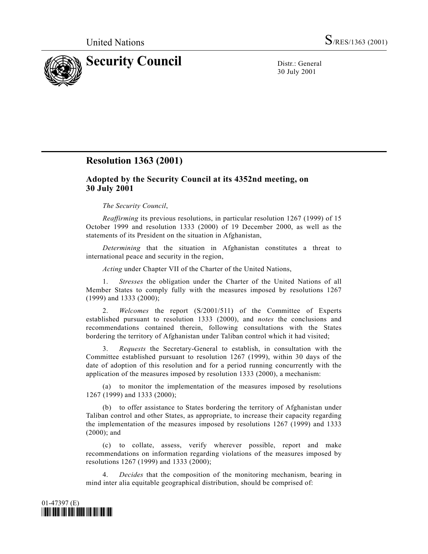

30 July 2001

## **Resolution 1363 (2001)**

## **Adopted by the Security Council at its 4352nd meeting, on 30 July 2001**

## *The Security Council*,

*Reaffirming* its previous resolutions, in particular resolution 1267 (1999) of 15 October 1999 and resolution 1333 (2000) of 19 December 2000, as well as the statements of its President on the situation in Afghanistan,

*Determining* that the situation in Afghanistan constitutes a threat to international peace and security in the region,

*Acting* under Chapter VII of the Charter of the United Nations,

1. *Stresses* the obligation under the Charter of the United Nations of all Member States to comply fully with the measures imposed by resolutions 1267 (1999) and 1333 (2000);

2. *Welcomes* the report (S/2001/511) of the Committee of Experts established pursuant to resolution 1333 (2000), and *notes* the conclusions and recommendations contained therein, following consultations with the States bordering the territory of Afghanistan under Taliban control which it had visited;

3. *Requests* the Secretary-General to establish, in consultation with the Committee established pursuant to resolution 1267 (1999), within 30 days of the date of adoption of this resolution and for a period running concurrently with the application of the measures imposed by resolution 1333 (2000), a mechanism:

(a) to monitor the implementation of the measures imposed by resolutions 1267 (1999) and 1333 (2000);

(b) to offer assistance to States bordering the territory of Afghanistan under Taliban control and other States, as appropriate, to increase their capacity regarding the implementation of the measures imposed by resolutions 1267 (1999) and 1333 (2000); and

(c) to collate, assess, verify wherever possible, report and make recommendations on information regarding violations of the measures imposed by resolutions 1267 (1999) and 1333 (2000);

4. *Decides* that the composition of the monitoring mechanism, bearing in mind inter alia equitable geographical distribution, should be comprised of: